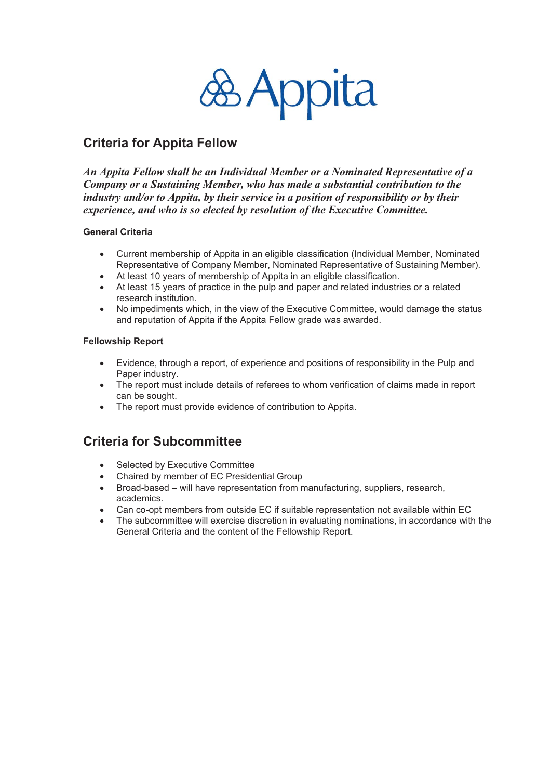

## **Criteria for Appita Fellow**

*An Appita Fellow shall be an Individual Member or a Nominated Representative of a Company or a Sustaining Member, who has made a substantial contribution to the industry and/or to Appita, by their service in a position of responsibility or by their experience, and who is so elected by resolution of the Executive Committee.* 

#### **General Criteria**

- $\bullet$ Current membership of Appita in an eligible classification (Individual Member, Nominated Representative of Company Member, Nominated Representative of Sustaining Member).
- -At least 10 years of membership of Appita in an eligible classification.
- -At least 15 years of practice in the pulp and paper and related industries or a related research institution.
- -No impediments which, in the view of the Executive Committee, would damage the status and reputation of Appita if the Appita Fellow grade was awarded.

#### **Fellowship Report**

- $\bullet$ Evidence, through a report, of experience and positions of responsibility in the Pulp and Paper industry.
- The report must include details of referees to whom verification of claims made in report can be sought.
- The report must provide evidence of contribution to Appita.

## **Criteria for Subcommittee**

- -Selected by Executive Committee
- -Chaired by member of EC Presidential Group
- Broad-based will have representation from manufacturing, suppliers, research, academics.
- -Can co-opt members from outside EC if suitable representation not available within EC
- $\bullet$ The subcommittee will exercise discretion in evaluating nominations, in accordance with the General Criteria and the content of the Fellowship Report.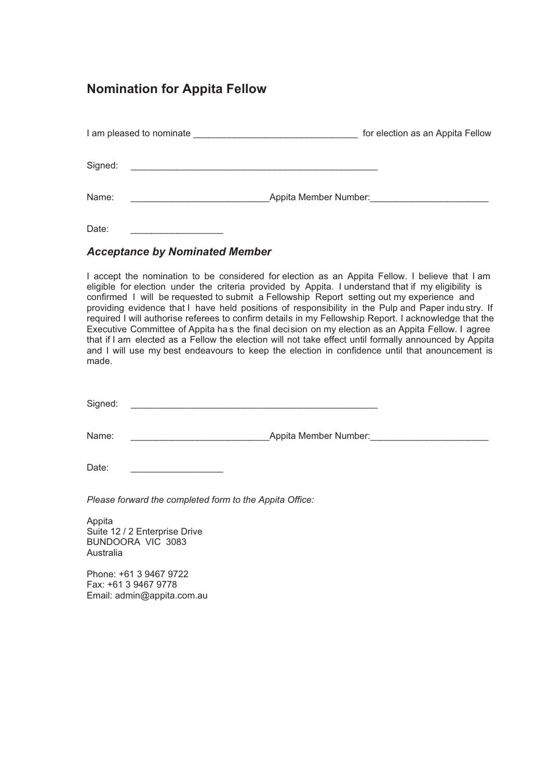### **Nomination for Appita Fellow**

| I am pleased to nominate | for election as an Appita Fellow |
|--------------------------|----------------------------------|
| Signed:                  |                                  |
| Name:                    | Appita Member Number:            |

Date:

### **Acceptance by Nominated Member**

I accept the nomination to be considered for election as an Appita Fellow. I believe that I am eligible for election under the criteria provided by Appita. I understand that if my eligibility is confirmed I will be requested to submit a Fellowship Report setting out my experience and providing evidence that I have held positions of responsibility in the Pulp and Paper industry. If required I will authorise referees to confirm details in my Fellowship Report. I acknowledge that the Executive Committee of Appita has the final decision on my election as an Appita Fellow. I agree that if I am elected as a Fellow the election will not take effect until formally announced by Appita and I will use my best endeavours to keep the election in confidence until that anouncement is made.

Signed:

Name: **Appita Member Number:** 

Date:

Please forward the completed form to the Appita Office:

Appita Suite 12 / 2 Enterprise Drive BUNDOORA VIC 3083 Australia

Phone: +61 3 9467 9722 Fax: +61 3 9467 9778 Email: admin@appita.com.au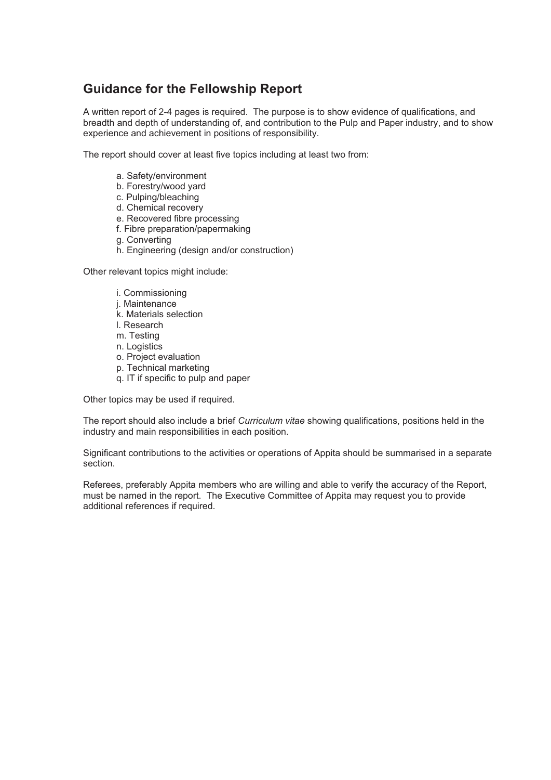# **Guidance for the Fellowship Report**

A written report of 2-4 pages is required. The purpose is to show evidence of qualifications, and breadth and depth of understanding of, and contribution to the Pulp and Paper industry, and to show experience and achievement in positions of responsibility.

The report should cover at least five topics including at least two from:

- a. Safety/environment
- b. Forestry/wood yard
- c. Pulping/bleaching
- d. Chemical recovery
- e. Recovered fibre processing
- f. Fibre preparation/papermaking
- g. Convertina
- h. Engineering (design and/or construction)

Other relevant topics might include:

- i. Commissioning
- j. Maintenance
- k. Materials selection
- I. Research
- m. Testing
- n. Logistics
- o. Project evaluation
- p. Technical marketing
- q. IT if specific to pulp and paper

Other topics may be used if required.

The report should also include a brief Curriculum vitae showing qualifications, positions held in the industry and main responsibilities in each position.

Significant contributions to the activities or operations of Appita should be summarised in a separate section.

Referees, preferably Appita members who are willing and able to verify the accuracy of the Report, must be named in the report. The Executive Committee of Appita may request you to provide additional references if required.